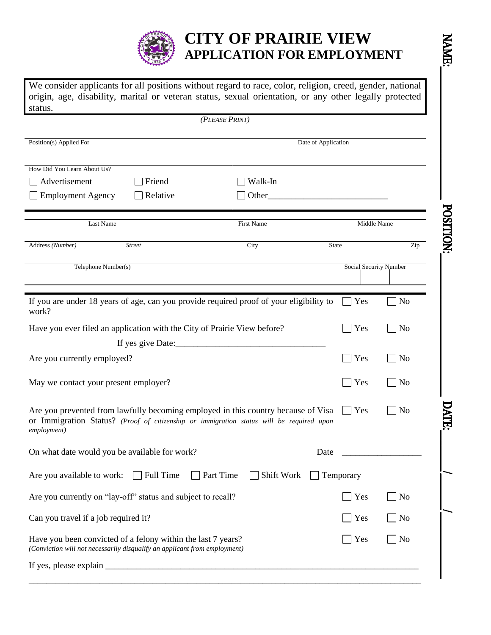

## **CITY OF PRAIRIE VIEW APPLICATION FOR EMPLOYMENT**

NAME:

We consider applicants for all positions without regard to race, color, religion, creed, gender, national origin, age, disability, marital or veteran status, sexual orientation, or any other legally protected status.

| (PLEASE PRINT)                                                                                                                                                                |                |                                                                                                                                                             |
|-------------------------------------------------------------------------------------------------------------------------------------------------------------------------------|----------------|-------------------------------------------------------------------------------------------------------------------------------------------------------------|
|                                                                                                                                                                               |                |                                                                                                                                                             |
|                                                                                                                                                                               |                |                                                                                                                                                             |
| Walk-In                                                                                                                                                                       |                |                                                                                                                                                             |
|                                                                                                                                                                               |                |                                                                                                                                                             |
| First Name                                                                                                                                                                    |                | <b>POSITION:</b>                                                                                                                                            |
| City                                                                                                                                                                          |                | Zip                                                                                                                                                         |
|                                                                                                                                                                               |                |                                                                                                                                                             |
| If you are under 18 years of age, can you provide required proof of your eligibility to                                                                                       | Yes            | N <sub>o</sub>                                                                                                                                              |
| Have you ever filed an application with the City of Prairie View before?                                                                                                      | Yes            | No                                                                                                                                                          |
|                                                                                                                                                                               |                |                                                                                                                                                             |
|                                                                                                                                                                               | Yes            | No                                                                                                                                                          |
|                                                                                                                                                                               | Yes            | No                                                                                                                                                          |
| Are you prevented from lawfully becoming employed in this country because of Visa<br>or Immigration Status? (Proof of citizenship or immigration status will be required upon | <b>Yes</b>     | <b>DATE:</b><br>No                                                                                                                                          |
| Date                                                                                                                                                                          |                |                                                                                                                                                             |
|                                                                                                                                                                               |                |                                                                                                                                                             |
|                                                                                                                                                                               | $\mathbf{Yes}$ | N <sub>o</sub>                                                                                                                                              |
|                                                                                                                                                                               | Yes            | $\overline{\rm No}$                                                                                                                                         |
|                                                                                                                                                                               | Yes            | $\Box$ No                                                                                                                                                   |
|                                                                                                                                                                               |                |                                                                                                                                                             |
|                                                                                                                                                                               | Other_         | Date of Application<br>Middle Name<br><b>State</b><br>Social Security Number<br>Are you available to work: □ Full Time □ Part Time □ Shift Work □ Temporary |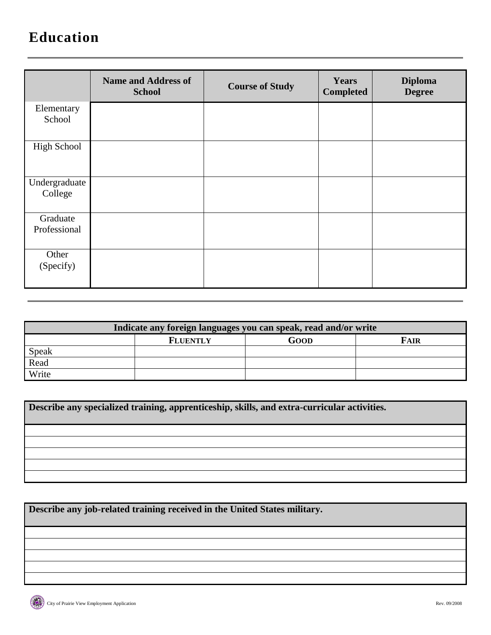## **Education**

|                          | <b>Name and Address of</b><br><b>School</b> | <b>Course of Study</b> | <b>Years</b><br><b>Completed</b> | <b>Diploma</b><br><b>Degree</b> |
|--------------------------|---------------------------------------------|------------------------|----------------------------------|---------------------------------|
| Elementary<br>School     |                                             |                        |                                  |                                 |
| <b>High School</b>       |                                             |                        |                                  |                                 |
| Undergraduate<br>College |                                             |                        |                                  |                                 |
| Graduate<br>Professional |                                             |                        |                                  |                                 |
| Other<br>(Specify)       |                                             |                        |                                  |                                 |

| Indicate any foreign languages you can speak, read and/or write |                 |      |             |  |
|-----------------------------------------------------------------|-----------------|------|-------------|--|
|                                                                 | <b>FLUENTLY</b> | GOOD | <b>FAIR</b> |  |
| Speak                                                           |                 |      |             |  |
| Read                                                            |                 |      |             |  |
| Write                                                           |                 |      |             |  |

**Describe any specialized training, apprenticeship, skills, and extra-curricular activities.**

**Describe any job-related training received in the United States military.**

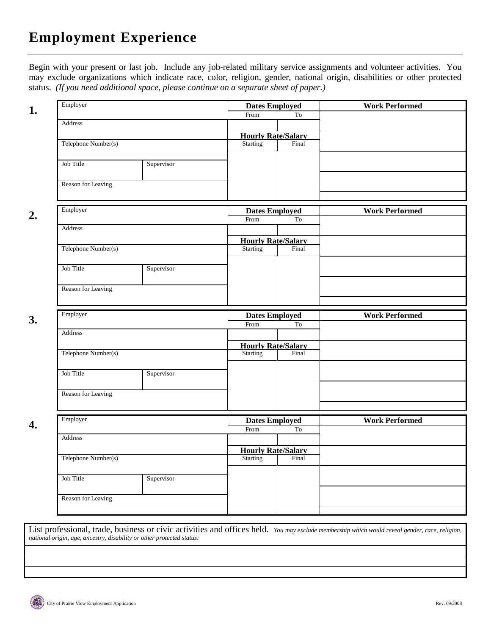Begin with your present or last job. Include any job-related military service assignments and volunteer activities. You may exclude organizations which indicate race, color, religion, gender, national origin, disabilities or other protected status. *(If you need additional space, please continue on a separate sheet of paper.)*

| Employer            |            | <b>Dates Employed</b>                       |       | <b>Work Performed</b> |
|---------------------|------------|---------------------------------------------|-------|-----------------------|
|                     |            | From                                        | To    |                       |
| Address             |            |                                             |       |                       |
|                     |            | <b>Hourly Rate/Salary</b><br>Starting Final |       |                       |
| Telephone Number(s) |            |                                             |       |                       |
| Job Title           | Supervisor |                                             |       |                       |
|                     |            |                                             |       |                       |
| Reason for Leaving  |            |                                             |       |                       |
|                     |            |                                             |       |                       |
| Employer            |            | <b>Dates Employed</b>                       |       | <b>Work Performed</b> |
|                     |            | From                                        | To    |                       |
| Address             |            |                                             |       |                       |
|                     |            | <b>Hourly Rate/Salary</b>                   |       |                       |
| Telephone Number(s) |            | Starting                                    | Final |                       |
|                     |            |                                             |       |                       |
| Job Title           | Supervisor |                                             |       |                       |
|                     |            |                                             |       |                       |
| Reason for Leaving  |            |                                             |       |                       |
|                     |            |                                             |       |                       |
| Employer            |            | <b>Dates Employed</b>                       |       | <b>Work Performed</b> |
| Address             |            | From                                        | To    |                       |
|                     |            |                                             |       |                       |
| Telephone Number(s) |            | <b>Hourly Rate/Salary</b><br>Starting       | Final |                       |
|                     |            |                                             |       |                       |
| Job Title           | Supervisor |                                             |       |                       |
|                     |            |                                             |       |                       |
| Reason for Leaving  |            |                                             |       |                       |
|                     |            |                                             |       |                       |
| Employer            |            | <b>Dates Employed</b>                       |       | <b>Work Performed</b> |
| Address             |            | From                                        | To    |                       |
|                     |            |                                             |       |                       |
| Telephone Number(s) |            | <b>Hourly Rate/Salary</b><br>Starting Final |       |                       |
|                     |            |                                             |       |                       |
| Job Title           | Supervisor |                                             |       |                       |
|                     |            |                                             |       |                       |
|                     |            |                                             |       |                       |
| Reason for Leaving  |            |                                             |       |                       |

List professional, trade, business or civic activities and offices held. *You may exclude membership which would reveal gender, race, religion, national origin, age, ancestry, disability or other protected status:*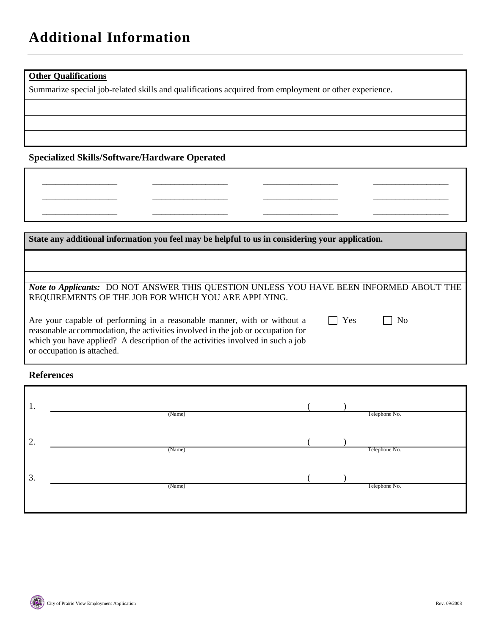### **Other Qualifications**

\_\_\_\_\_\_\_\_\_\_\_\_\_\_\_\_\_ \_\_\_\_\_\_\_\_\_\_\_\_\_\_\_\_\_ \_\_\_\_\_\_\_\_\_\_\_\_\_\_\_\_\_

Summarize special job-related skills and qualifications acquired from employment or other experience.

\_\_\_\_\_\_\_\_\_\_\_\_\_\_\_\_\_ \_\_\_\_\_\_\_\_\_\_\_\_\_\_\_\_\_ \_\_\_\_\_\_\_\_\_\_\_\_\_\_\_\_\_

#### **Specialized Skills/Software/Hardware Operated**

## **State any additional information you feel may be helpful to us in considering your application.**  *Note to Applicants:* DO NOT ANSWER THIS QUESTION UNLESS YOU HAVE BEEN INFORMED ABOUT THE REQUIREMENTS OF THE JOB FOR WHICH YOU ARE APPLYING. Are your capable of performing in a reasonable manner, with or without a reasonable accommodation, the activities involved in the job or occupation for which you have applied? A description of the activities involved in such a job or occupation is attached.  $\Box$  Yes  $\Box$  No

\_\_\_\_\_\_\_\_\_\_\_\_\_\_\_\_\_ \_\_\_\_\_\_\_\_\_\_\_\_\_\_\_\_\_ \_\_\_\_\_\_\_\_\_\_\_\_\_\_\_\_\_ \_\_\_\_\_\_\_\_\_\_\_\_\_\_\_\_\_ \_\_\_\_\_\_\_\_\_\_\_\_\_\_\_\_\_ \_\_\_\_\_\_\_\_\_\_\_\_\_\_\_\_\_

#### **References**

| 1. | (Name) |  | Telephone No. |
|----|--------|--|---------------|
| 2. | (Name) |  | Telephone No. |
| 3. | (Name) |  | Telephone No. |
|    |        |  |               |